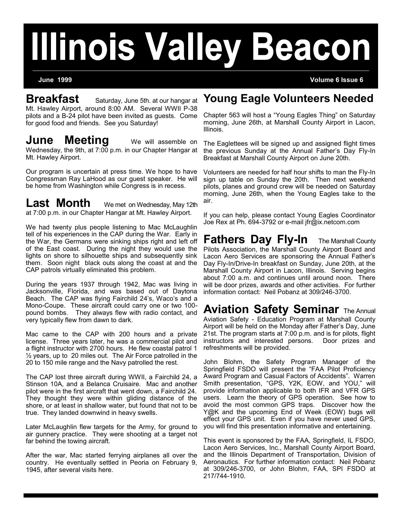# **Illinois Valley Beacon**

**June 1999 Volume 6 Issue 6**

**Breakfast** Saturday, June 5th. at our hangar at Mt. Hawley Airport, around 8:00 AM. Several WWII P-38 pilots and a B-24 pilot have been invited as guests. Come for good food and friends. See you Saturday!

**June Meeting** We will assemble on Wednesday, the 9th, at 7:00 p.m. in our Chapter Hangar at Mt. Hawley Airport.

Our program is uncertain at press time. We hope to have Congressman Ray LaHood as our guest speaker. He will be home from Washington while Congress is in recess.

Last Month We met on Wednesday, May 12th at 7:00 p.m. in our Chapter Hangar at Mt. Hawley Airport.

We had twenty plus people listening to Mac McLaughlin tell of his experiences in the CAP during the War. Early in the War, the Germans were sinking ships right and left off of the East coast. During the night they would use the lights on shore to silhouette ships and subsequently sink them. Soon night black outs along the coast at and the CAP patrols virtually eliminated this problem.

During the years 1937 through 1942, Mac was living in Jacksonville, Florida, and was based out of Daytona Beach. The CAP was flying Fairchild 24's, Waco's and a Mono-Coupe. These aircraft could carry one or two 100 pound bombs. They always flew with radio contact, and very typically flew from dawn to dark.

Mac came to the CAP with 200 hours and a private license. Three years later, he was a commercial pilot and a flight instructor with 2700 hours. He flew coastal patrol 1 ½ years, up to 20 miles out. The Air Force patrolled in the 20 to 150 mile range and the Navy patrolled the rest.

The CAP lost three aircraft during WWII, a Fairchild 24, a Stinson 10A, and a Belanca Cruisaire. Mac and another pilot were in the first aircraft that went down, a Fairchild 24. They thought they were within gliding distance of the shore, or at least in shallow water, but found that not to be true. They landed downwind in heavy swells.

Later McLaughlin flew targets for the Army, for ground to air gunnery practice. They were shooting at a target not far behind the towing aircraft.

After the war, Mac started ferrying airplanes all over the country. He eventually settled in Peoria on February 9, 1945, after several visits here.

## **Young Eagle Volunteers Needed**

Chapter 563 will host a "Young Eagles Thing" on Saturday morning, June 26th, at Marshall County Airport in Lacon, Illinois.

The Eaglettees will be signed up and assigned flight times the previous Sunday at the Annual Father's Day Fly-In Breakfast at Marshall County Airport on June 20th.

Volunteers are needed for half hour shifts to man the Fly-In sign up table on Sunday the 20th. Then next weekend pilots, planes and ground crew will be needed on Saturday morning, June 26th, when the Young Eagles take to the air.

If you can help, please contact Young Eagles Coordinator Joe Rex at Ph. 694-3792 or e-mail jfr@ix.netcom.com

**Fathers Day Fly-In** The Marshall County Pilots Association, the Marshall County Airport Board and Lacon Aero Services are sponsoring the Annual Father's Day Fly-In/Drive-In breakfast on Sunday, June 20th, at the Marshall County Airport in Lacon, Illinois. Serving begins about 7:00 a.m. and continues until around noon. There will be door prizes, awards and other activities. For further information contact: Neil Pobanz at 309/246-3700.

## **Aviation Safety Seminar The Annual**

Aviation Safety - Education Program at Marshall County Airport will be held on the Monday after Father's Day, June 21st. The program starts at 7:00 p.m. and is for pilots, flight instructors and interested persons. refreshments will be provided.

John Blohm, the Safety Program Manager of the Springfield FSDO will present the "FAA Pilot Proficiency Award Program and Casual Factors of Accidents". Warren Smith presentation, "GPS, Y2K, EOW, and YOU," will provide information applicable to both IFR and VFR GPS users. Learn the theory of GPS operation. See how to avoid the most common GPS traps. Discover how the Y@K and the upcoming End of Week (EOW) bugs will effect your GPS unit. Even if you have never used GPS, you will find this presentation informative and entertaining.

This event is sponsored by the FAA, Springfield, IL FSDO, Lacon Aero Services, Inc., Marshall County Airport Board, and the Illinois Department of Transportation, Division of Aeronautics. For further information contact: Neil Pobanz at 309/246-3700, or John Blohm, FAA, SPI FSDO at 217/744-1910.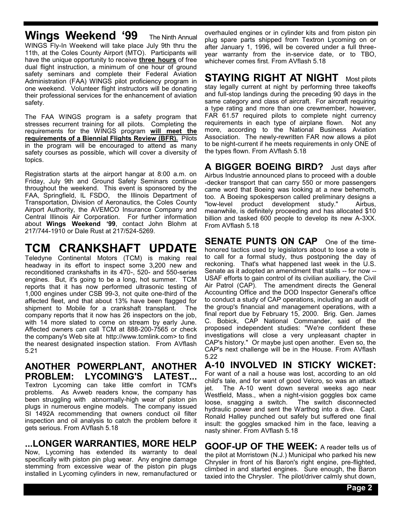**Wings Weekend '99** The Ninth Annual WINGS Fly-In Weekend will take place July 9th thru the 11th, at the Coles County Airport (MTO). Participants will have the unique opportunity to receive **three hours** of free dual flight instruction, a minimum of one hour of ground safety seminars and complete their Federal Aviation Administration (FAA) WINGS pilot proficiency program in one weekend. Volunteer flight instructors will be donating their professional services for the enhancement of aviation safety.

The FAA WINGS program is a safety program that stresses recurrent training for all pilots. Completing the requirements for the WINGS program **will meet the requirements of a Biennial Flights Review (BFR).** Pilots in the program will be encouraged to attend as many safety courses as possible, which will cover a diversity of topics.

Registration starts at the airport hangar at 8:00 a.m. on Friday, July 9th and Ground Safety Seminars continue throughout the weekend. This event is sponsored by the FAA, Springfield, IL FSDO, the Illinois Department of Transportation, Division of Aeronautics, the Coles County Airport Authority, the AVEMCO Insurance Company and Central Illinois Air Corporation. For further information about **Wings Weekend '99**, contact John Blohm at 217/744-1910 or Dale Rust at 217/524-5269.

## **TCM CRANKSHAFT UPDATE**

Teledyne Continental Motors (TCM) is making real headway in its effort to inspect some 3,200 new and reconditioned crankshafts in its 470-, 520- and 550-series engines. But, it's going to be a long, hot summer. TCM reports that it has now performed ultrasonic testing of 1,000 engines under CSB 99-3, not quite one-third of the affected fleet, and that about 13% have been flagged for shipment to Mobile for a crankshaft transplant. The company reports that it now has 26 inspectors on the job, with 14 more slated to come on stream by early June. Affected owners can call TCM at 888-200-7565 or check the company's Web site at http://www.tcmlink.com> to find the nearest designated inspection station. From AVflash 5.21

#### **ANOTHER POWERPLANT, ANOTHER PROBLEM: LYCOMING'S LATEST...**

Textron Lycoming can take little comfort in TCM's problems. As Avweb readers know, the company has been struggling with abnormally-high wear of piston pin plugs in numerous engine models. The company issued SI 1492A recommending that owners conduct oil filter inspection and oil analysis to catch the problem before it gets serious. From AVflash 5.18

### **...LONGER WARRANTIES, MORE HELP**

Now, Lycoming has extended its warranty to deal specifically with piston pin plug wear. Any engine damage stemming from excessive wear of the piston pin plugs installed in Lycoming cylinders in new, remanufactured or

overhauled engines or in cylinder kits and from piston pin plug spare parts shipped from Textron Lycoming on or after January 1, 1996, will be covered under a full threeyear warranty from the in-service date, or to TBO, whichever comes first. From AVflash 5.18

**STAYING RIGHT AT NIGHT** Most pilots stay legally current at night by performing three takeoffs and full-stop landings during the preceding 90 days in the same category and class of aircraft. For aircraft requiring a type rating and more than one crewmember, however, FAR 61.57 required pilots to complete night currency requirements in each type of airplane flown. Not any more, according to the National Business Aviation Association. The newly-rewritten FAR now allows a pilot to be night-current if he meets requirements in only ONE of the types flown. From AVflash 5.18

**A BIGGER BOEING BIRD?** Just days after Airbus Industrie announced plans to proceed with a double -decker transport that can carry 550 or more passengers came word that Boeing was looking at a new behemoth, too. A Boeing spokesperson called preliminary designs a "low-level product development study." Airbus, meanwhile, is definitely proceeding and has allocated \$10 billion and tasked 600 people to develop its new A-3XX. From AVflash 5.18

**SENATE PUNTS ON CAP** One of the timehonored tactics used by legislators about to lose a vote is to call for a formal study, thus postponing the day of reckoning. That's what happened last week in the U.S. Senate as it adopted an amendment that stalls -- for now -- USAF efforts to gain control of its civilian auxiliary, the Civil Air Patrol (CAP). The amendment directs the General Accounting Office and the DOD Inspector General's office to conduct a study of CAP operations, including an audit of the group's financial and management operations, with a final report due by February 15, 2000. Brig. Gen. James C. Bobick, CAP National Commander, said of the proposed independent studies: "We're confident these investigations will close a very unpleasant chapter in CAP's history." Or maybe just open another. Even so, the CAP's next challenge will be in the House. From AVflash 5.22

**A-10 INVOLVED IN STICKY WICKET:**  For want of a nail a house was lost, according to an old child's tale, and for want of good Velcro, so was an attack jet. The A-10 went down several weeks ago near Westfield, Mass., when a night-vision goggles box came loose, snagging a switch. The switch disconnected hydraulic power and sent the Warthog into a dive. Capt. Ronald Halley punched out safely but suffered one final insult: the goggles smacked him in the face, leaving a nasty shiner. From AVflash 5.18

**GOOF-UP OF THE WEEK:** A reader tells us of the pilot at Morristown (N.J.) Municipal who parked his new Chrysler in front of his Baron's right engine, pre-flighted, climbed in and started engines. Sure enough, the Baron taxied into the Chrysler. The pilot/driver calmly shut down,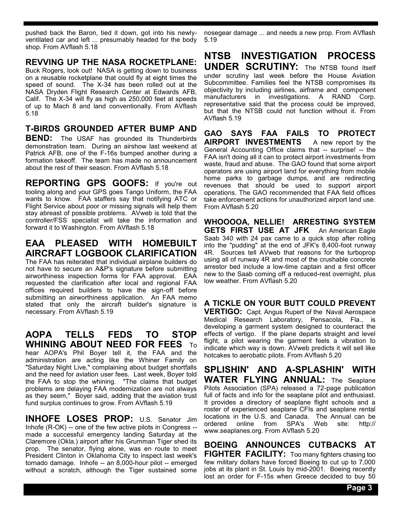pushed back the Baron, tied it down, got into his newlyventilated car and left ... presumably headed for the body shop. From AVflash 5.18

#### **REVVING UP THE NASA ROCKETPLANE:**

Buck Rogers, look out! NASA is getting down to business on a reusable rocketplane that could fly at eight times the speed of sound. The X-34 has been rolled out at the NASA Dryden Flight Research Center at Edwards AFB, Calif. The X-34 will fly as high as 250,000 feet at speeds of up to Mach 8 and land conventionally. From AVflash 5.18

#### **T-BIRDS GROUNDED AFTER BUMP AND**

**BEND:** The USAF has grounded its Thunderbirds demonstration team. During an airshow last weekend at Patrick AFB, one of the F-16s bumped another during a formation takeoff. The team has made no announcement about the rest of their season. From AVflash 5.18

**REPORTING GPS GOOFS:** If you're out tooling along and your GPS goes Tango Uniform, the FAA wants to know. FAA staffers say that notifying ATC or Flight Service about poor or missing signals will help them stay abreast of possible problems. AVweb is told that the controller/FSS specialist will take the information and forward it to Washington. From AVflash 5.18

### **EAA PLEASED WITH HOMEBUILT AIRCRAFT LOGBOOK CLARIFICATION**

The FAA has reiterated that individual airplane builders do not have to secure an A&P's signature before submitting airworthiness inspection forms for FAA approval. EAA requested the clarification after local and regional FAA offices required builders to have the sign-off before submitting an airworthiness application. An FAA memo stated that only the aircraft builder's signature is necessary. From AVflash 5.19

**AOPA TELLS FEDS TO STOP WHINING ABOUT NEED FOR FEES** To hear AOPA's Phil Boyer tell it, the FAA and the administration are acting like the Whiner Family on "Saturday Night Live," complaining about budget shortfalls and the need for aviation user fees. Last week, Boyer told the FAA to stop the whining. "The claims that budget problems are delaying FAA modernization are not always as they seem," Boyer said, adding that the aviation trust fund surplus continues to grow. From AVflash 5.19

**INHOFE LOSES PROP:** U.S. Senator Jim Inhofe (R-OK) -- one of the few active pilots in Congress - made a successful emergency landing Saturday at the Claremore (Okla.) airport after his Grumman Tiger shed its prop. The senator, flying alone, was en route to meet President Clinton in Oklahoma City to inspect last week's tornado damage. Inhofe -- an 8,000-hour pilot -- emerged without a scratch, although the Tiger sustained some

nosegear damage ... and needs a new prop. From AVflash 5.19

#### **NTSB INVESTIGATION PROCESS UNDER SCRUTINY:** The NTSB found itself under scrutiny last week before the House Aviation Subcommittee. Families feel the NTSB compromises its objectivity by including airlines, airframe and component manufacturers in investigations. A RAND Corp. representative said that the process could be improved, but that the NTSB could not function without it. From AVflash 5.19

**GAO SAYS FAA FAILS TO PROTECT AIRPORT INVESTMENTS** A new report by the General Accounting Office claims that -- surprise! -- the FAA isn't doing all it can to protect airport investments from waste, fraud and abuse. The GAO found that some airport operators are using airport land for everything from mobile home parks to garbage dumps, and are redirecting revenues that should be used to support airport operations. The GAO recommended that FAA field offices take enforcement actions for unauthorized airport land use. From AVflash 5.20

**WHOOOOA, NELLIE! ARRESTING SYSTEM GETS FIRST USE AT JFK** An American Eagle Saab 340 with 24 pax came to a quick stop after rolling into the "pudding" at the end of JFK's 8,400-foot runway 4R. Sources tell AVweb that reasons for the turboprop using all of runway 4R and most of the crushable concrete arrestor bed include a low-time captain and a first officer new to the Saab coming off a reduced-rest overnight, plus low weather. From AVflash 5.20

**A TICKLE ON YOUR BUTT COULD PREVENT VERTIGO:** Capt. Angus Rupert of the Naval Aerospace Medical Research Laboratory, Pensacola, Fla., is developing a garment system designed to counteract the effects of vertigo. If the plane departs straight and level flight, a pilot wearing the garment feels a vibration to indicate which way is down. AVweb predicts it will sell like hotcakes to aerobatic pilots. From AVflash 5.20

**SPLISHIN' AND A-SPLASHIN' WITH WATER FLYING ANNUAL:** The Seaplane Pilots Association (SPA) released a 72-page publication full of facts and info for the seaplane pilot and enthusiast. It provides a directory of seaplane flight schools and a roster of experienced seaplane CFIs and seaplane rental locations in the U.S. and Canada. The Annual can be ordered online from SPA's Web site: http:// www.seaplanes.org. From AVflash 5.20

**BOEING ANNOUNCES CUTBACKS AT FIGHTER FACILITY:** Too many fighters chasing too few military dollars have forced Boeing to cut up to 7,000 jobs at its plant in St. Louis by mid-2001. Boeing recently lost an order for F-15s when Greece decided to buy 50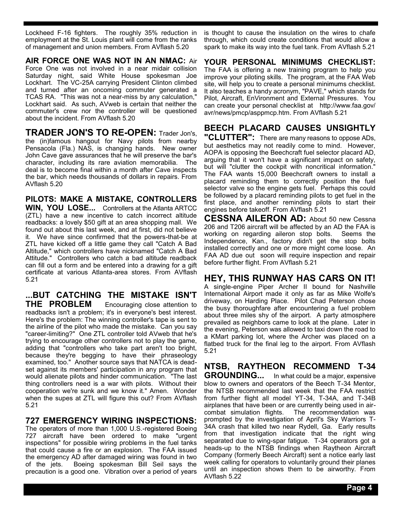Lockheed F-16 fighters. The roughly 35% reduction in employment at the St. Louis plant will come from the ranks of management and union members. From AVflash 5.20

**AIR FORCE ONE WAS NOT IN AN NMAC:** Air Force One was not involved in a near midair collision Saturday night, said White House spokesman Joe Lockhart. The VC-25A carrying President Clinton climbed and turned after an oncoming commuter generated a TCAS RA. "This was not a near-miss by any calculation," Lockhart said. As such, AVweb is certain that neither the commuter's crew nor the controller will be questioned about the incident. From AVflash 5.20

**TRADER JON'S TO RE-OPEN:** Trader Jon's, the (in)famous hangout for Navy pilots from nearby Pensacola (Fla.) NAS, is changing hands. New owner John Cave gave assurances that he will preserve the bar's character, including its rare aviation memorabilia. The deal is to become final within a month after Cave inspects the bar, which needs thousands of dollars in repairs. From AVflash 5.20

**PILOTS: MAKE A MISTAKE, CONTROLLERS WIN, YOU LOSE...** Controllers at the Atlanta ARTCC (ZTL) have a new incentive to catch incorrect altitude readbacks: a lovely \$50 gift at an area shopping mall. We found out about this last week, and at first, did not believe it. We have since confirmed that the powers-that-be at ZTL have kicked off a little game they call "Catch A Bad Altitude," which controllers have nicknamed "Catch A Bad Attitude." Controllers who catch a bad altitude readback can fill out a form and be entered into a drawing for a gift certificate at various Atlanta-area stores. From AVflash 5.21

**...BUT CATCHING THE MISTAKE ISN'T THE PROBLEM** Encouraging close attention to readbacks isn't a problem; it's in everyone's best interest. Here's the problem: The winning controller's tape is sent to the airline of the pilot who made the mistake. Can you say "career-limiting?" One ZTL controller told AVweb that he's trying to encourage other controllers not to play the game, adding that "controllers who take part aren't too bright, because they're begging to have their phraseology examined, too." Another source says that NATCA is deadset against its members' participation in any program that would alienate pilots and hinder communication. "The last thing controllers need is a war with pilots. Without their cooperation we're sunk and we know it." Amen. Wonder when the supes at ZTL will figure this out? From AVflash 5.21

**727 EMERGENCY WIRING INSPECTIONS:** 

The operators of more than 1,000 U.S.-registered Boeing 727 aircraft have been ordered to make "urgent inspections" for possible wiring problems in the fuel tanks that could cause a fire or an explosion. The FAA issued the emergency AD after damaged wiring was found in two<br>of the jets. Boeing spokesman Bill Seil says the Boeing spokesman Bill Seil says the precaution is a good one. Vibration over a period of years

is thought to cause the insulation on the wires to chafe through, which could create conditions that would allow a spark to make its way into the fuel tank. From AVflash 5.21

**YOUR PERSONAL MINIMUMS CHECKLIST:**  The FAA is offering a new training program to help you improve your piloting skills. The program, at the FAA Web site, will help you to create a personal minimums checklist. It also teaches a handy acronym, "PAVE," which stands for Pilot, Aircraft, EnVironment and External Pressures. You can create your personal checklist at http://www.faa.gov/ avr/news/pmcp/asppmcp.htm. From AVflash 5.21

#### **BEECH PLACARD CAUSES UNSIGHTLY**

**"CLUTTER":** There are many reasons to oppose ADs, but aesthetics may not readily come to mind. However, AOPA is opposing the Beechcraft fuel selector placard AD, arguing that it won't have a significant impact on safety, but will "clutter the cockpit with noncritical information." The FAA wants 15,000 Beechcraft owners to install a placard reminding them to correctly position the fuel selector valve so the engine gets fuel. Perhaps this could be followed by a placard reminding pilots to get fuel in the first place, and another reminding pilots to start their engines before takeoff. From AVflash 5.21

**CESSNA AILERON AD:** About 50 new Cessna 206 and T206 aircraft will be affected by an AD the FAA is working on regarding aileron stop bolts. Seems the Independence, Kan., factory didn't get the stop bolts installed correctly and one or more might come loose. An FAA AD due out soon will require inspection and repair before further flight. From AVflash 5.21

#### **HEY, THIS RUNWAY HAS CARS ON IT!**

A single-engine Piper Archer II bound for Nashville International Airport made it only as far as Mike Wolfe's driveway, on Harding Place. Pilot Chad Peterson chose the busy thoroughfare after encountering a fuel problem about three miles shy of the airport. A party atmosphere prevailed as neighbors came to look at the plane. Later in the evening, Peterson was allowed to taxi down the road to a KMart parking lot, where the Archer was placed on a flatbed truck for the final leg to the airport. From AVflash 5.21

**NTSB, RAYTHEON RECOMMEND T-34 GROUNDING...** In what could be a major, expensive blow to owners and operators of the Beech T-34 Mentor, the NTSB recommended last week that the FAA restrict from further flight all model YT-34, T-34A, and T-34B airplanes that have been or are currently being used in aircombat simulation flights. prompted by the investigation of April's Sky Warriors T-34A crash that killed two near Rydell, Ga. Early results from that investigation indicate that the right wing separated due to wing-spar fatigue. T-34 operators got a heads-up to the NTSB findings when Raytheon Aircraft Company (formerly Beech Aircraft) sent a notice early last week calling for operators to voluntarily ground their planes until an inspection shows them to be airworthy. From AVflash 5.22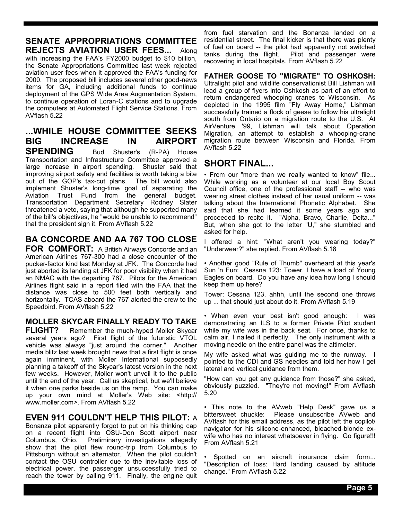**SENATE APPROPRIATIONS COMMITTEE REJECTS AVIATION USER FEES...** Along with increasing the FAA's FY2000 budget to \$10 billion, the Senate Appropriations Committee last week rejected aviation user fees when it approved the FAA's funding for 2000. The proposed bill includes several other good-news items for GA, including additional funds to continue deployment of the GPS Wide Area Augmentation System, to continue operation of Loran-C stations and to upgrade the computers at Automated Flight Service Stations. From AVflash 5.22

### **...WHILE HOUSE COMMITTEE SEEKS BIG INCREASE IN AIRPORT**

**SPENDING** Bud Shuster's (R-PA) House Transportation and Infrastructure Committee approved a large increase in airport spending. Shuster said that improving airport safety and facilities is worth taking a bite out of the GOP's tax-cut plans. The bill would also implement Shuster's long-time goal of separating the Aviation Trust Fund from the general budget. Transportation Department Secretary Rodney Slater threatened a veto, saying that although he supported many of the bill's objectives, he "would be unable to recommend" that the president sign it. From AVflash 5.22

#### **BA CONCORDE AND AA 767 TOO CLOSE**

**FOR COMFORT:** A British Airways Concorde and an American Airlines 767-300 had a close encounter of the pucker-factor kind last Monday at JFK. The Concorde had just aborted its landing at JFK for poor visibility when it had an NMAC with the departing 767. Pilots for the American Airlines flight said in a report filed with the FAA that the distance was close to 500 feet both vertically and horizontally. TCAS aboard the 767 alerted the crew to the Speedbird. From AVflash 5.22

#### **MOLLER SKYCAR FINALLY READY TO TAKE**

**FLIGHT?** Remember the much-hyped Moller Skycar several years ago? First flight of the futuristic VTOL vehicle was always "just around the corner." Another media blitz last week brought news that a first flight is once again imminent, with Moller International supposedly planning a takeoff of the Skycar's latest version in the next few weeks. However, Moller won't unveil it to the public until the end of the year. Call us skeptical, but we'll believe it when one parks beside us on the ramp. You can make up your own mind at Moller's Web site: <http:// www.moller.com>. From AVflash 5.22

#### **EVEN 911 COULDN'T HELP THIS PILOT:** A

Bonanza pilot apparently forgot to put on his thinking cap on a recent flight into OSU-Don Scott airport near Columbus, Ohio. Preliminary investigations allegedly show that the pilot flew round-trip from Columbus to Pittsburgh without an alternator. When the pilot couldn't contact the OSU controller due to the inevitable loss of electrical power, the passenger unsuccessfully tried to reach the tower by calling 911. Finally, the engine quit

from fuel starvation and the Bonanza landed on a residential street. The final kicker is that there was plenty of fuel on board -- the pilot had apparently not switched tanks during the flight. Pilot and passenger were recovering in local hospitals. From AVflash 5.22

**FATHER GOOSE TO "MIGRATE" TO OSHKOSH:**  Ultralight pilot and wildlife conservationist Bill Lishman will lead a group of flyers into Oshkosh as part of an effort to return endangered whooping cranes to Wisconsin. As depicted in the 1995 film "Fly Away Home," Lishman successfully trained a flock of geese to follow his ultralight south from Ontario on a migration route to the U.S. At AirVenture '99, Lishman will talk about Operation Migration, an attempt to establish a whooping-crane migration route between Wisconsin and Florida. From AVflash 5.22

#### **SHORT FINAL...**

• From our "more than we really wanted to know" file... While working as a volunteer at our local Boy Scout Council office, one of the professional staff -- who was wearing street clothes instead of her usual uniform -- was talking about the International Phonetic Alphabet. She said that she had learned it some years ago and proceeded to recite it. "Alpha, Bravo, Charlie, Delta..." But, when she got to the letter "U," she stumbled and asked for help.

I offered a hint: "What aren't you wearing today?" "Underwear?" she replied. From AVflash 5.18

• Another good "Rule of Thumb" overheard at this year's Sun 'n Fun: Cessna 123: Tower, I have a load of Young Eagles on board. Do you have any idea how long I should keep them up here?

Tower: Cessna 123, ahhh, until the second one throws up ... that should just about do it. From AVflash 5.19

• When even your best isn't good enough: I was demonstrating an ILS to a former Private Pilot student while my wife was in the back seat. For once, thanks to calm air, I nailed it perfectly. The only instrument with a moving needle on the entire panel was the altimeter.

My wife asked what was guiding me to the runway. I pointed to the CDI and GS needles and told her how I get lateral and vertical guidance from them.

"How can you get any guidance from those?" she asked, obviously puzzled. "They're not moving!" From AVflash 5.20

• This note to the AVweb "Help Desk" gave us a bittersweet chuckle: Please unsubscribe AVweb and AVflash for this email address, as the pilot left the copilot/ navigator for his silicone-enhanced, bleached-blonde exwife who has no interest whatsoever in flying. Go figure!!! From AVflash 5.21

Spotted on an aircraft insurance claim form... "Description of loss: Hard landing caused by altitude change." From AVflash 5.22